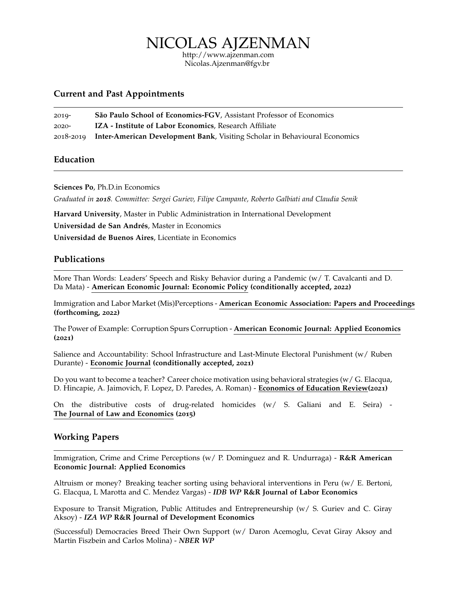NICOLAS AJZENMAN

<http://www.ajzenman.com> [Nicolas.Ajzenman@fgv.br](mailto:nicolas.ajzenman@fgv.br)

## **Current and Past Appointments**

| $2019 -$ | São Paulo School of Economics-FGV, Assistant Professor of Economics                  |
|----------|--------------------------------------------------------------------------------------|
| $2020 -$ | <b>IZA</b> - Institute of Labor Economics, Research Affiliate                        |
|          | 2018-2019 Inter-American Development Bank, Visiting Scholar in Behavioural Economics |

# **Education**

**Sciences Po**, Ph.D.in Economics

*Graduated in 2018. Committee: Sergei Guriev, Filipe Campante, Roberto Galbiati and Claudia Senik*

**Harvard University**, Master in Public Administration in International Development

**Universidad de San Andrés**, Master in Economics

**Universidad de Buenos Aires**, Licentiate in Economics

## **Publications**

More Than Words: Leaders' Speech and Risky Behavior during a Pandemic (w/ T. Cavalcanti and D. Da Mata) - **[American Economic Journal: Economic Policy](https://papers.ssrn.com/sol3/papers.cfm?abstract_id=3582908) (conditionally accepted, 2022)**

Immigration and Labor Market (Mis)Perceptions - **American Economic Association: Papers and Proceedings (forthcoming, 2022)**

The Power of Example: Corruption Spurs Corruption - **[American Economic Journal: Applied Economi](https://www.ebrd.com/documents/oce/the-power-of-example-corruption-spurs-corruption.pdf)cs ([2021](https://www.ebrd.com/documents/oce/the-power-of-example-corruption-spurs-corruption.pdf))**

Salience and Accountability: School Infrastructure and Last-Minute Electoral Punishment (w/ Ruben Durante) - **Economic Journal [\(conditionally accepted,](https://papers.ssrn.com/sol3/papers.cfm?abstract_id=3496369) 2021)**

Do you want to become a teacher? Career choice motivation using behavioral strategies (w/ G. Elacqua, D. Hincapie, A. Jaimovich, F. Lopez, D. Paredes, A. Roman) - **Economics of Education Review(2021)**

On the distributive costs of drug-related homicides (w/ S. Galiani and E. Seira) - **The Journal of Law and Economics (2015)**

## **Working Papers**

Immigration, Crime and Crime Perceptions (w/ P. Dominguez and R. Undurraga) - **R&R American Economic Journal: Applied Economics**

Altruism or money? Breaking teacher sorting using behavioral interventions in Peru (w/ E. Bertoni, G. Elacqua, L Marotta and C. Mendez Vargas) - *IDB WP* **[R&R Journal of Labor Economics](https://papers.ssrn.com/sol3/papers.cfm?abstract_id=3664284)**

Exposure to Transit Migration, Public Attitudes and Entrepreneurship (w/ S. Guriev and C. Giray Aksoy) - *IZA WP* **[R&R Journal of Development Economics](http://ftp.iza.org/dp13130.pdf)**

(Successful) Democracies Breed Their Own Support (w/ Daron Acemoglu, Cevat Giray Aksoy and Martin Fiszbein and Carlos Molina) - *[NBER WP](https://economics.mit.edu/files/21774)*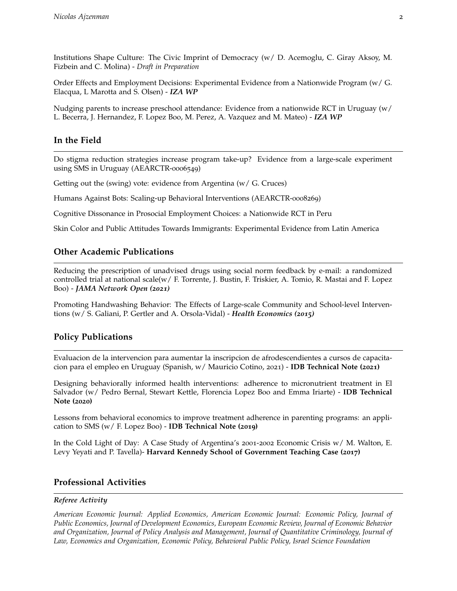Institutions Shape Culture: The Civic Imprint of Democracy (w/ D. Acemoglu, C. Giray Aksoy, M. Fizbein and C. Molina) - *Draft in Preparation*

Order Effects and Employment Decisions: Experimental Evidence from a Nationwide Program (w/ G. Elacqua, L Marotta and S. Olsen) - *[IZA WP](https://ftp.iza.org/dp14690.pdf)*

Nudging parents to increase preschool attendance: Evidence from a nationwide RCT in Uruguay (w/ L. Becerra, J. Hernandez, F. Lopez Boo, M. Perez, A. Vazquez and M. Mateo) - *[IZA WP](https://docs.iza.org/dp14921.pdf)*

# **In the Field**

Do stigma reduction strategies increase program take-up? Evidence from a large-scale experiment using SMS in Uruguay (AEARCTR-0006549)

Getting out the (swing) vote: evidence from Argentina (w/ G. Cruces)

Humans Against Bots: Scaling-up Behavioral Interventions (AEARCTR-0008269)

Cognitive Dissonance in Prosocial Employment Choices: a Nationwide RCT in Peru

Skin Color and Public Attitudes Towards Immigrants: Experimental Evidence from Latin America

## **Other Academic Publications**

Reducing the prescription of unadvised drugs using social norm feedback by e-mail: a randomized controlled trial at national scale(w/ F. Torrente, J. Bustin, F. Triskier, A. Tomio, R. Mastai and F. Lopez Boo) - *JAMA Network Open (2021)*

Promoting Handwashing Behavior: The Effects of Large-scale Community and School-level Interventions (w/ S. Galiani, P. Gertler and A. Orsola-Vidal) - *Health Economics (2015)*

# **Policy Publications**

Evaluacion de la intervencion para aumentar la inscripcion de afrodescendientes a cursos de capacitacion para el empleo en Uruguay (Spanish, w/ Mauricio Cotino, 2021) - **IDB Technical Note (2021)**

Designing behaviorally informed health interventions: adherence to micronutrient treatment in El Salvador (w/ Pedro Bernal, Stewart Kettle, Florencia Lopez Boo and Emma Iriarte) - **IDB Technical Note (2020)**

Lessons from behavioral economics to improve treatment adherence in parenting programs: an application to SMS (w/ F. Lopez Boo) - **IDB Technical Note (2019)**

In the Cold Light of Day: A Case Study of Argentina's 2001-2002 Economic Crisis w/ M. Walton, E. Levy Yeyati and P. Tavella)- **Harvard Kennedy School of Government Teaching Case (2017)**

## **Professional Activities**

### *Referee Activity*

*American Economic Journal: Applied Economics, American Economic Journal: Economic Policy, Journal of Public Economics, Journal of Development Economics, European Economic Review, Journal of Economic Behavior and Organization, Journal of Policy Analysis and Management, Journal of Quantitative Criminology, Journal of Law, Economics and Organization, Economic Policy, Behavioral Public Policy, Israel Science Foundation*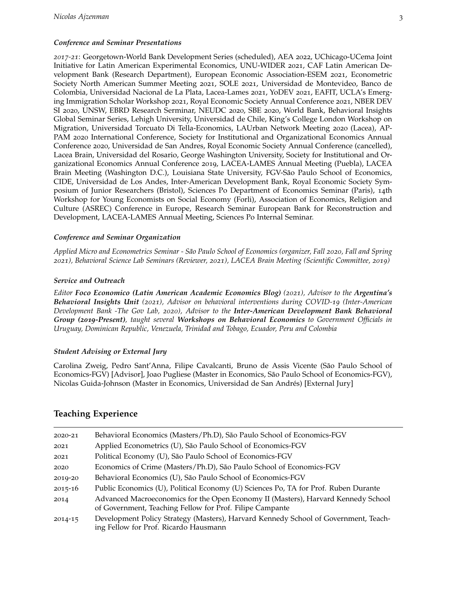### *Conference and Seminar Presentations*

*2017-21*: Georgetown-World Bank Development Series (scheduled), AEA 2022, UChicago-UCema Joint Initiative for Latin American Experimental Economics, UNU-WIDER 2021, CAF Latin American Development Bank (Research Department), European Economic Association-ESEM 2021, Econometric Society North American Summer Meeting 2021, SOLE 2021, Universidad de Montevideo, Banco de Colombia, Universidad Nacional de La Plata, Lacea-Lames 2021, YoDEV 2021, EAFIT, UCLA's Emerging Immigration Scholar Workshop 2021, Royal Economic Society Annual Conference 2021, NBER DEV SI 2020, UNSW, EBRD Research Serminar, NEUDC 2020, SBE 2020, World Bank, Behavioral Insights Global Seminar Series, Lehigh University, Universidad de Chile, King's College London Workshop on Migration, Universidad Torcuato Di Tella-Economics, LAUrban Network Meeting 2020 (Lacea), AP-PAM 2020 International Conference, Society for Institutional and Organizational Economics Annual Conference 2020, Universidad de San Andres, Royal Economic Society Annual Conference (cancelled), Lacea Brain, Universidad del Rosario, George Washington University, Society for Institutional and Organizational Economics Annual Conference 2019, LACEA-LAMES Annual Meeting (Puebla), LACEA Brain Meeting (Washington D.C.), Louisiana State University, FGV-São Paulo School of Economics, CIDE, Universidad de Los Andes, Inter-American Development Bank, Royal Economic Society Symposium of Junior Researchers (Bristol), Sciences Po Department of Economics Seminar (Paris), 14th Workshop for Young Economists on Social Economy (Forli), Association of Economics, Religion and Culture (ASREC) Conference in Europe, Research Seminar European Bank for Reconstruction and Development, LACEA-LAMES Annual Meeting, Sciences Po Internal Seminar.

#### *Conference and Seminar Organization*

*Applied Micro and Econometrics Seminar - São Paulo School of Economics (organizer, Fall 2020, Fall and Spring 2021), Behavioral Science Lab Seminars (Reviewer, 2021), LACEA Brain Meeting (Scientific Committee, 2019)*

#### *Service and Outreach*

*Editor [Foco Economico \(Latin American Academic Economics Blog\)](http://www.focoeconomcio.org) (2021), Advisor to the Argentina's Behavioral Insights Unit (2021), Advisor on behavioral interventions during COVID-19 (Inter-American Development Bank -The Gov Lab, 2020), Advisor to the Inter-American Development Bank Behavioral Group (2019-Present), taught several Workshops on Behavioral Economics to Government Officials in Uruguay, Dominican Republic, Venezuela, Trinidad and Tobago, Ecuador, Peru and Colombia*

#### *Student Advising or External Jury*

Carolina Zweig, Pedro Sant'Anna, Filipe Cavalcanti, Bruno de Assis Vicente (São Paulo School of Economics-FGV) [Advisor], Joao Pugliese (Master in Economics, São Paulo School of Economics-FGV), Nicolas Guida-Johnson (Master in Economics, Universidad de San Andrés) [External Jury]

### **Teaching Experience**

| 2020-21     | Behavioral Economics (Masters/Ph.D), São Paulo School of Economics-FGV                                                                        |
|-------------|-----------------------------------------------------------------------------------------------------------------------------------------------|
| 2021        | Applied Econometrics (U), São Paulo School of Economics-FGV                                                                                   |
| 2021        | Political Economy (U), São Paulo School of Economics-FGV                                                                                      |
| 2020        | Economics of Crime (Masters/Ph.D), São Paulo School of Economics-FGV                                                                          |
| 2019-20     | Behavioral Economics (U), São Paulo School of Economics-FGV                                                                                   |
| $2015 - 16$ | Public Economics (U), Political Economy (U) Sciences Po, TA for Prof. Ruben Durante                                                           |
| 2014        | Advanced Macroeconomics for the Open Economy II (Masters), Harvard Kennedy School<br>of Government, Teaching Fellow for Prof. Filipe Campante |
| $2014 - 15$ | Development Policy Strategy (Masters), Harvard Kennedy School of Government, Teach-<br>ing Fellow for Prof. Ricardo Hausmann                  |